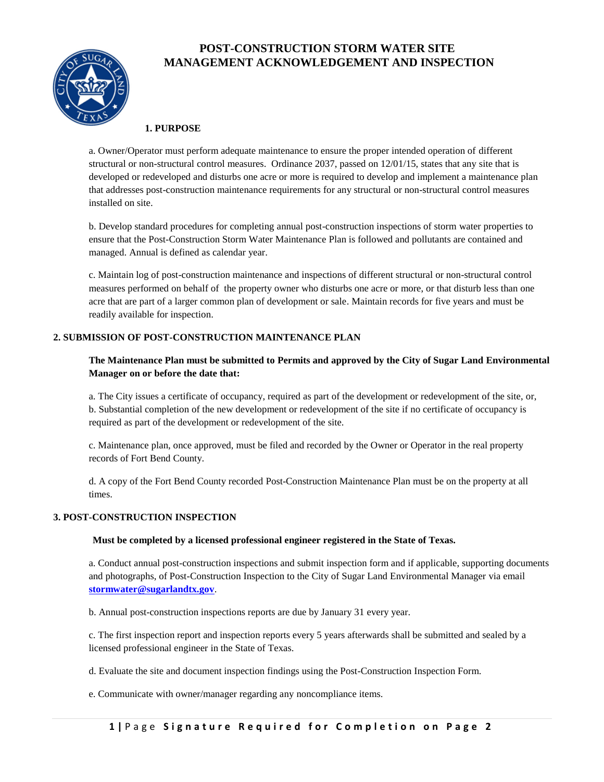

# **POST-CONSTRUCTION STORM WATER SITE MANAGEMENT ACKNOWLEDGEMENT AND INSPECTION**

## **1. PURPOSE**

a. Owner/Operator must perform adequate maintenance to ensure the proper intended operation of different structural or non-structural control measures. Ordinance 2037, passed on 12/01/15, states that any site that is developed or redeveloped and disturbs one acre or more is required to develop and implement a maintenance plan that addresses post-construction maintenance requirements for any structural or non-structural control measures installed on site.

b. Develop standard procedures for completing annual post-construction inspections of storm water properties to ensure that the Post-Construction Storm Water Maintenance Plan is followed and pollutants are contained and managed. Annual is defined as calendar year.

c. Maintain log of post-construction maintenance and inspections of different structural or non-structural control measures performed on behalf of the property owner who disturbs one acre or more, or that disturb less than one acre that are part of a larger common plan of development or sale. Maintain records for five years and must be readily available for inspection.

## **2. SUBMISSION OF POST-CONSTRUCTION MAINTENANCE PLAN**

## **The Maintenance Plan must be submitted to Permits and approved by the City of Sugar Land Environmental Manager on or before the date that:**

a. The City issues a certificate of occupancy, required as part of the development or redevelopment of the site, or, b. Substantial completion of the new development or redevelopment of the site if no certificate of occupancy is required as part of the development or redevelopment of the site.

c. Maintenance plan, once approved, must be filed and recorded by the Owner or Operator in the real property records of Fort Bend County.

d. A copy of the Fort Bend County recorded Post-Construction Maintenance Plan must be on the property at all times.

### **3. POST-CONSTRUCTION INSPECTION**

### **Must be completed by a licensed professional engineer registered in the State of Texas.**

a. Conduct annual post-construction inspections and submit inspection form and if applicable, supporting documents and photographs, of Post-Construction Inspection to the City of Sugar Land Environmental Manager via email **[stormwater@sugarlandtx.gov](mailto:stormwater@sugarlandtx.gov)**.

b. Annual post-construction inspections reports are due by January 31 every year.

c. The first inspection report and inspection reports every 5 years afterwards shall be submitted and sealed by a licensed professional engineer in the State of Texas.

d. Evaluate the site and document inspection findings using the Post-Construction Inspection Form.

e. Communicate with owner/manager regarding any noncompliance items.